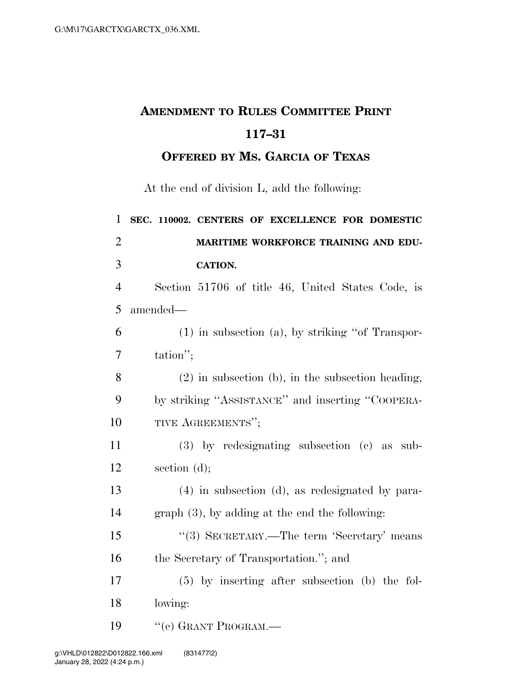## **AMENDMENT TO RULES COMMITTEE PRINT 117–31**

**OFFERED BY MS. GARCIA OF TEXAS**

At the end of division L, add the following:

| $\mathbf{1}$   | SEC. 110002. CENTERS OF EXCELLENCE FOR DOMESTIC       |
|----------------|-------------------------------------------------------|
| $\overline{2}$ | MARITIME WORKFORCE TRAINING AND EDU-                  |
| 3              | <b>CATION.</b>                                        |
| $\overline{4}$ | Section 51706 of title 46, United States Code, is     |
| 5              | amended-                                              |
| 6              | $(1)$ in subsection $(a)$ , by striking "of Transpor- |
| 7              | tation";                                              |
| 8              | $(2)$ in subsection (b), in the subsection heading,   |
| 9              | by striking "ASSISTANCE" and inserting "COOPERA-      |
| 10             | TIVE AGREEMENTS";                                     |
| 11             | $(3)$ by redesignating subsection $(e)$ as<br>sub-    |
| 12             | section $(d)$ ;                                       |
| 13             | $(4)$ in subsection (d), as redesignated by para-     |
| 14             | $graph(3)$ , by adding at the end the following:      |
| 15             | "(3) SECRETARY.—The term 'Secretary' means            |
| 16             | the Secretary of Transportation."; and                |
| 17             | $(5)$ by inserting after subsection (b) the fol-      |
| 18             | lowing:                                               |
| 19             | $``(e)$ GRANT PROGRAM.—                               |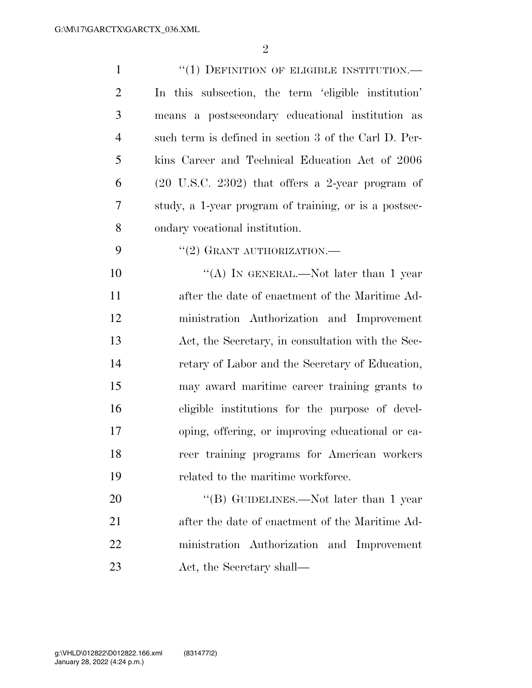| $\mathbf{1}$   | $``(1)$ DEFINITION OF ELIGIBLE INSTITUTION.—                |
|----------------|-------------------------------------------------------------|
| $\overline{2}$ | In this subsection, the term 'eligible institution'         |
| 3              | means a postsecondary educational institution as            |
| $\overline{4}$ | such term is defined in section 3 of the Carl D. Per-       |
| 5              | kins Career and Technical Education Act of 2006             |
| 6              | $(20 \text{ U.S.C. } 2302)$ that offers a 2-year program of |
| 7              | study, a 1-year program of training, or is a postsec-       |
| 8              | ondary vocational institution.                              |
| 9              | "(2) GRANT AUTHORIZATION.—                                  |
| 10             | "(A) IN GENERAL.—Not later than 1 year                      |
| 11             | after the date of enactment of the Maritime Ad-             |
| 12             | ministration Authorization and Improvement                  |
| 13             | Act, the Secretary, in consultation with the Sec-           |
| 14             | retary of Labor and the Secretary of Education,             |
| 15             | may award maritime career training grants to                |
| 16             | eligible institutions for the purpose of devel-             |
| 17             | oping, offering, or improving educational or ca-            |
| 18             | reer training programs for American workers                 |
| 19             | related to the maritime workforce.                          |
| 20             | "(B) GUIDELINES.—Not later than 1 year                      |
| 21             | after the date of enactment of the Maritime Ad-             |
| 22             | ministration Authorization and Improvement                  |
| 23             | Act, the Secretary shall—                                   |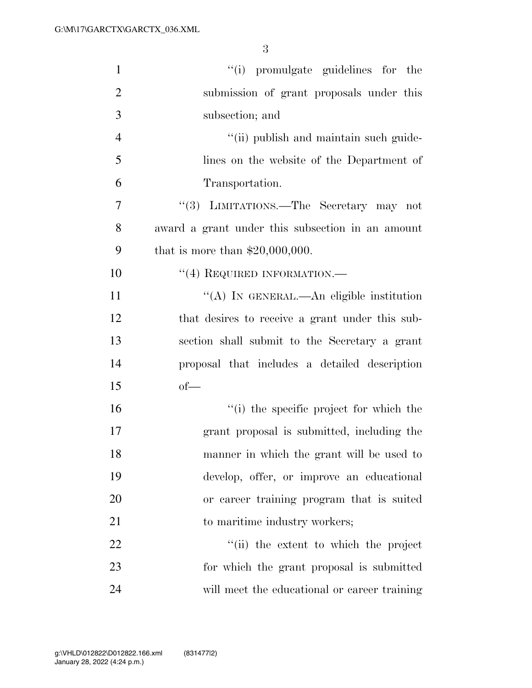| $\mathbf{1}$   | "(i) promulgate guidelines for the               |
|----------------|--------------------------------------------------|
| $\overline{2}$ | submission of grant proposals under this         |
| 3              | subsection; and                                  |
| $\overline{4}$ | "(ii) publish and maintain such guide-           |
| 5              | lines on the website of the Department of        |
| 6              | Transportation.                                  |
| 7              | "(3) LIMITATIONS.—The Secretary may not          |
| 8              | award a grant under this subsection in an amount |
| 9              | that is more than $$20,000,000$ .                |
| 10             | $``(4)$ REQUIRED INFORMATION.—                   |
| 11             | "(A) IN GENERAL.—An eligible institution         |
| 12             | that desires to receive a grant under this sub-  |
| 13             | section shall submit to the Secretary a grant    |
| 14             | proposal that includes a detailed description    |
| 15             | $of-$                                            |
| 16             | "(i) the specific project for which the          |
| 17             | grant proposal is submitted, including the       |
| 18             | manner in which the grant will be used to        |
| 19             | develop, offer, or improve an educational        |
| 20             | or career training program that is suited        |
| 21             | to maritime industry workers;                    |
| 22             | "(ii) the extent to which the project            |
| 23             | for which the grant proposal is submitted        |
| 24             | will meet the educational or career training     |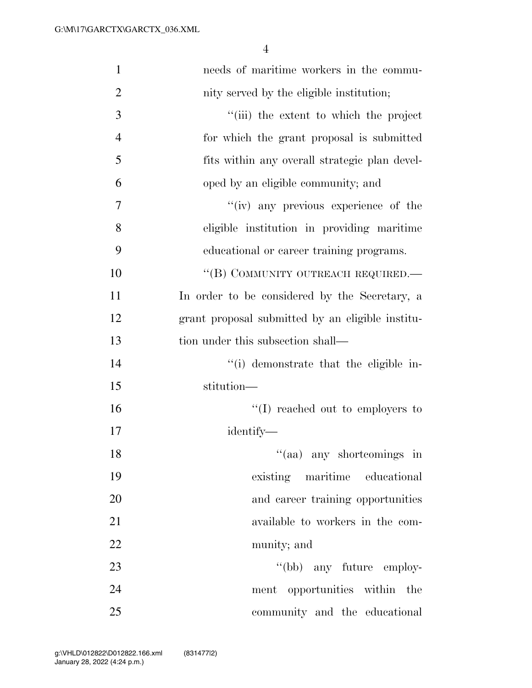| $\mathbf{1}$   | needs of maritime workers in the commu-          |
|----------------|--------------------------------------------------|
| $\overline{2}$ | nity served by the eligible institution;         |
| 3              | "(iii) the extent to which the project           |
| $\overline{4}$ | for which the grant proposal is submitted        |
| 5              | fits within any overall strategic plan devel-    |
| 6              | oped by an eligible community; and               |
| 7              | "(iv) any previous experience of the             |
| 8              | eligible institution in providing maritime       |
| 9              | educational or career training programs.         |
| 10             | "(B) COMMUNITY OUTREACH REQUIRED.—               |
| 11             | In order to be considered by the Secretary, a    |
| 12             | grant proposal submitted by an eligible institu- |
| 13             | tion under this subsection shall—                |
| 14             | "(i) demonstrate that the eligible in-           |
| 15             | stitution-                                       |
| 16             | $\lq\lq$ reached out to employers to             |
| 17             | identify—                                        |
| 18             | "(aa) any shortcomings in                        |
| 19             | existing maritime educational                    |
| 20             | and career training opportunities                |
| 21             | available to workers in the com-                 |
| 22             | munity; and                                      |
| 23             | "(bb) any future employ-                         |
| 24             | ment opportunities within the                    |
| 25             | community and the educational                    |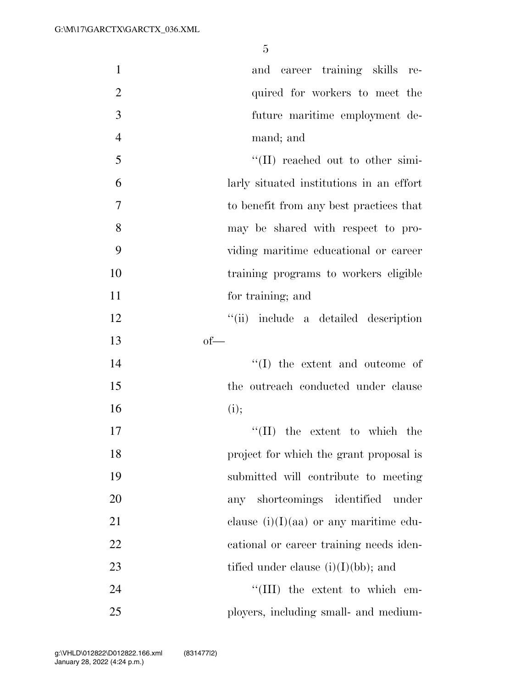| $\mathbf{1}$   | and career training skills re-           |
|----------------|------------------------------------------|
| $\overline{2}$ | quired for workers to meet the           |
| 3              | future maritime employment de-           |
| $\overline{4}$ | mand; and                                |
| 5              | "(II) reached out to other simi-         |
| 6              | larly situated institutions in an effort |
| $\tau$         | to benefit from any best practices that  |
| 8              | may be shared with respect to pro-       |
| 9              | viding maritime educational or career    |
| 10             | training programs to workers eligible    |
| 11             | for training; and                        |
| 12             | "(ii) include a detailed description     |
| 13             | $of$ —                                   |
| 14             | $\lq\lq$ the extent and outcome of       |
| 15             | the outreach conducted under clause      |
| 16             | (i);                                     |
| 17             | $\lq\lq$ (II) the extent to which the    |
| 18             | project for which the grant proposal is  |
| 19             | submitted will contribute to meeting     |
| 20             | any shortcomings identified under        |
| 21             | clause $(i)(I)(aa)$ or any maritime edu- |
| 22             | cational or career training needs iden-  |
| 23             | tified under clause $(i)(I)(bb)$ ; and   |
| 24             | $\lq\lq$ (III) the extent to which em-   |
| 25             | ployers, including small- and medium-    |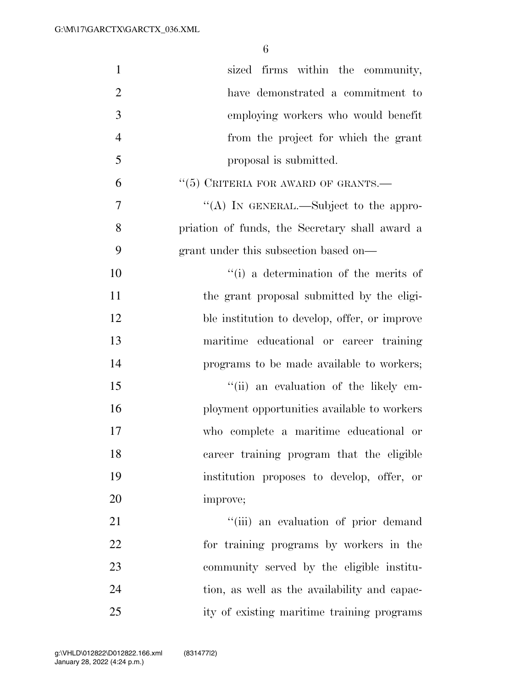| $\mathbf{1}$   | sized firms within the community,              |
|----------------|------------------------------------------------|
| $\overline{2}$ | have demonstrated a commitment to              |
| 3              | employing workers who would benefit            |
| $\overline{4}$ | from the project for which the grant           |
| 5              | proposal is submitted.                         |
| 6              | $``(5)$ CRITERIA FOR AWARD OF GRANTS.—         |
| $\overline{7}$ | "(A) IN GENERAL.—Subject to the appro-         |
| 8              | priation of funds, the Secretary shall award a |
| 9              | grant under this subsection based on—          |
| 10             | "(i) a determination of the merits of          |
| 11             | the grant proposal submitted by the eligi-     |
| 12             | ble institution to develop, offer, or improve  |
| 13             | maritime educational or career training        |
| 14             | programs to be made available to workers;      |
| 15             | "(ii) an evaluation of the likely em-          |
| 16             | ployment opportunities available to workers    |
| 17             | who complete a maritime educational or         |
| 18             | career training program that the eligible      |
| 19             | institution proposes to develop, offer, or     |
| 20             | improve;                                       |
| 21             | "(iii) an evaluation of prior demand           |
| 22             | for training programs by workers in the        |
| 23             | community served by the eligible institu-      |
| 24             | tion, as well as the availability and capac-   |
| 25             | ity of existing maritime training programs     |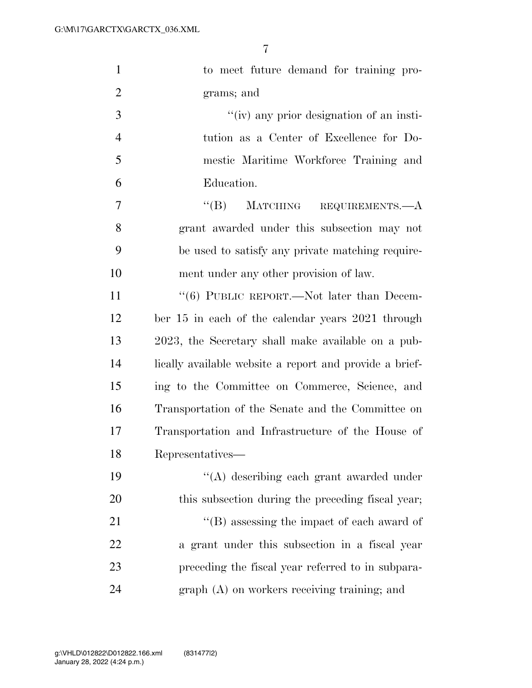| $\mathbf{1}$   | to meet future demand for training pro-                 |
|----------------|---------------------------------------------------------|
| $\overline{2}$ | grams; and                                              |
| 3              | "(iv) any prior designation of an insti-                |
| $\overline{4}$ | tution as a Center of Excellence for Do-                |
| 5              | mestic Maritime Workforce Training and                  |
| 6              | Education.                                              |
| 7              | $\lq\lq (B)$<br>MATCHING<br>REQUIREMENTS.-A             |
| 8              | grant awarded under this subsection may not             |
| 9              | be used to satisfy any private matching require-        |
| 10             | ment under any other provision of law.                  |
| 11             | $\cdot\cdot$ (6) PUBLIC REPORT.—Not later than Decem-   |
| 12             | ber 15 in each of the calendar years 2021 through       |
| 13             | 2023, the Secretary shall make available on a pub-      |
| 14             | lically available website a report and provide a brief- |
| 15             | ing to the Committee on Commerce, Science, and          |
| 16             | Transportation of the Senate and the Committee on       |
| 17             | Transportation and Infrastructure of the House of       |
| 18             | Representatives—                                        |
| 19             | "(A) describing each grant awarded under                |
| 20             | this subsection during the preceding fiscal year;       |
| 21             | $\lq\lq$ (B) assessing the impact of each award of      |
| 22             | a grant under this subsection in a fiscal year          |
| 23             | preceding the fiscal year referred to in subpara-       |
| 24             | $graph(A)$ on workers receiving training; and           |